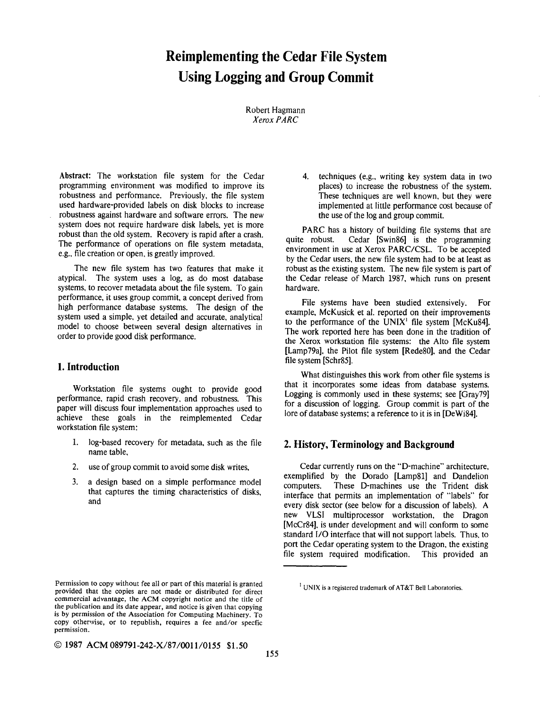# **Reimplementing the Cedar File System Using Logging and Group Commit**

Robert Hagmann *Xerox PARC* 

**Abstract:** The workstation file system for the Cedar programming environment was modified to improve its robustness and performance. Previously, the file system used hardware-provided labels on disk blocks to increase robustness against hardware and software errors. The new system does not require hardware disk labels, yet is more robust than the old system. Recovery is rapid after a crash. The performance of operations on file system metadata, e.g., file creation or open, is greatly improved.

The new file system has two features that make it atypical. The system uses a log, as do most database systems, to recover metadata about the file system. To gain performance, it uses group commit, a concept derived from high performance database systems. The design of the system used a simple, yet detailed and accurate, analytical model to choose between several design alternatives in order to provide good disk performance.

# **1. Introduction**

Workstation file systems ought to provide good performance, rapid crash recovery, and robustness. This paper will discuss four implementation approaches used to achieve these goals in the reimplemented Cedar workstation file system:

- 1. log-based recovery for metadata, such as the file name table,
- 2. use of group commit to avoid some disk writes,
- 3. a design based on a simple performance model that captures the timing characteristics of disks, and

4. techniques (e.g., writing key system data in two places) to increase the robustness of the system. These techniques are well known, but they were implemented at little performance cost because of the use of the log and group commit.

PARC has a history of building file systems that are quite robust. Cedar [Swin86] is the programming environment in use at Xerox PARC/CSL. To be accepted by the Cedar users, the new file system had to be at least as robust as the existing system. The new file system is part of the Cedar release of March 1987, which runs on present hardware.

File systems have been studied extensively. For example, McKusick et al. reported on their improvements to the performance of the  $UNIX<sup>1</sup>$  file system [McKu84]. The work reported here has been done in the tradition of the Xerox workstation file systems: the Alto file system [Lamp79a], the Pilot file system [Rede80], and the Cedar file system [Schr85].

What distinguishes this work from other file systems is that it incorporates some ideas from database systems. Logging is commonly used in these systems; see [Gray79] for a discussion of logging. Group commit is part of the lore of database systems: a reference to it is in [DeWi84].

## **2. History, Terminology and Background**

Cedar currently runs on the "D-machine" architecture, exemplified by the Dorado [Lamp81] and Dandelion computers. These D-machines use the Trident disk interface that permits an implementation of "labels" for every disk sector (see below for a discussion of labels). A new VLSI multiprocessor workstation, the Dragon [McCr84], is under development and will conform to some standard I/O interface that will not support labels. Thus, to port the Cedar operating system to the Dragon, the existing file system required modification. This provided an

© 1987 ACM 089791-242-X/87/0011/0155 \$1.50

Permission to copy without fee all or part of this material is granted provided that the copies are not made or distributed for direct *commercial* advantage, the ACM copyright notice and the title of the publication and its date appear, and notice is given that copying is by permission of the Association for Computing Machinery. To copy otherwise, or to republish, requires a fee and/or specfic permission.

<sup>&</sup>lt;sup>1</sup> UNIX is a registered trademark of AT&T Bell Laboratories.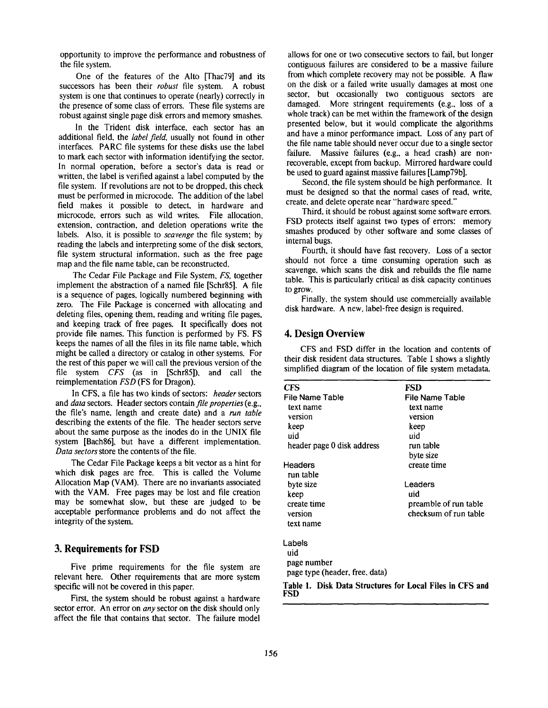opportunity to improve the performance and robustness of the file system.

One of the features of the Alto [Thac79] and its successors has been their *robust* file system. A robust system is one that continues to operate (nearly) correctly in the presence of some class of errors. These file systems are robust against single page disk errors and memory smashes.

In the Trident disk interface, each sector has an additional field, the *label field,* usually not found in other interfaces. PARC file systems for these disks use the label to mark each sector with information identifying the sector. In normal operation, before a sector's data is read or written, the label is verified against a label computed by the file system. If revolutions are not to be dropped, this check must be performed in microcode. The addition of the label field makes it possible to detect, in hardware and microcode, errors such as wild writes. File allocation, extension, contraction, and deletion operations write the labels. Also, it is possible to *scavenge the* file system; by reading the labels and interpreting some of the disk sectors, file system structural information, such as the free page map and the file name table, can be reconstructed.

The Cedar File Package and File System, *FS,* together implement the abstraction of a named file [Schr85]. A file is a sequence of pages, logically numbered beginning with zero. The File Package is concerned with allocating and deleting flies, opening them, reading and writing file pages, and keeping track of free pages. It specifically does not provide file names. This function is performed by FS. FS keeps the names of all the files in its file name table, which might be called a directory or catalog in other systems. For the rest of this paper we will call the previous version of the file system *CFS* (as in [Schr85]), and call the reimplementation *FSD* (FS for Dragon).

In CFS, a file has two kinds of sectors: *header sectors*  and *data* sectors. Header sectors contain *file properties* (e.g., the file's name, length and create date) and *a run table*  describing the extents of the file. The header sectors serve about the same purpose as the inodes do in the UNIX file system [Bach86], but have a different implementation. *Data sectors* store the contents of the file.

The Cedar File Package keeps a bit vector as a hint for which disk pages are free. This is called the Volume Allocation Map (VAM). There are no invariants associated with the VAM. Free pages may be lost and file creation may be somewhat slow, but these are judged to be acceptable performance problems and do not affect the integrity of the system.

# **3. Requirements for** FSD

Five prime requirements for the file system are relevant here. Other requirements that are more system specific will not be covered in this paper.

First, the system should be robust against a hardware sector error. An error on *any* sector on the disk should only affect the file that contains that sector. The failure model

allows for one or two consecutive sectors to fail, but longer contiguous failures are considered to be a massive failure from which complete recovery may not be possible. A flaw on the disk or a failed write usually damages at most one sector, but occasionally two contiguous sectors are damaged. More stringent requirements (e.g., loss of a whole track) can be met within the framework of the design presented below, but it would complicate the algorithms and have a minor performance impact. Loss of any part of the file name table should never occur due to a single sector failure. Massive failures (e.g., a head crash) are nonrecoverable, except from backup. Mirrored hardware could be used to guard against massive failures [Lamp79b].

Second, the file system should be high performance. It must be designed so that the normal cases of read, write, create, and delete operate near "hardware speed."

Third, it should be robust against some software errors. FSD protects itself against two types of errors: memory smashes produced by other software and some classes of internal bugs.

Fourth, it should have fast recovery. Loss of a sector should not force a time consuming operation such as scavenge, which scans the disk and rebuilds the file name table. This is particularly critical as disk capacity continues to grow.

Finally, the system should use commercially available disk hardware. A new, label-free design is required.

## **4. Design Overview**

CFS and FSD differ in the location and contents of their disk resident data structures. Table 1 shows a slightly simplified diagram of the location of file system metadata.

| <b>CFS</b>                     | FSD                   |
|--------------------------------|-----------------------|
| <b>File Name Table</b>         | File Name Table       |
| text name                      | text name             |
| version                        | version               |
| keep                           | keep                  |
| uid                            | uid                   |
| header page 0 disk address     | run table             |
|                                | byte size             |
| Headers                        | create time           |
| run table                      |                       |
| byte size                      | Leaders               |
| keep                           | uid                   |
| create time                    | preamble of run table |
| version                        | checksum of run table |
| text name                      |                       |
| Labels                         |                       |
| uid                            |                       |
| page number                    |                       |
| page type (header, free, data) |                       |

Table 1. Disk Data Structures for Local **Files in CFS and**  FSD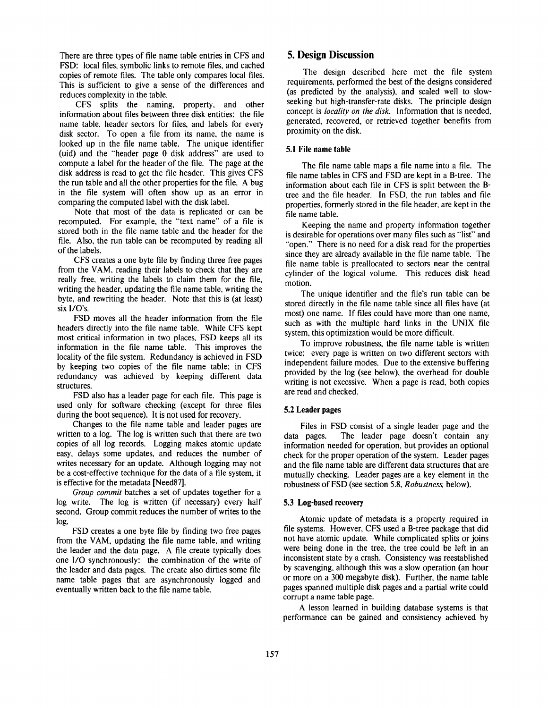There are three types of file name table entries in CFS and FSD: local files, symbolic links to remote files, and cached copies of remote files. The table only compares local files. This is sufficient to give a sense of the differences and reduces complexity in the table.

CFS splits the naming, property, and other information about files between three disk entities: the file name table, header sectors for files, and labels for every disk sector. To open a file from its name, the name is looked up in the file name table. The unique identifier (uid) and the "header page 0 disk address" are used to compute a label for the header of the file. The page at the disk address is read to get the file header. This gives CFS the run table and all the other properties for the file. A bug in the file system will often show up as an error in comparing the computed label with the disk label.

Note that most of the data is replicated or can be recomputed. For example, the "text name" of a file is stored both in the file name table and the header for the file. Also, the run table can be recomputed by reading all of the labels.

CFS creates a one byte file by finding three free pages from the VAM, reading their labels to check that they are really free, writing the labels to claim them for the file, writing the header, updating the file name table, writing the byte, and rewriting the header. Note that this is (at least) six I/O's.

FSD moves all the header information from the file headers directly into the file name table. While CFS kept most critical information in two places, FSD keeps all its information in the file name table. This improves the locality of the file system. Redundancy is achieved in FSD by keeping two copies of the file name table; in CFS redundancy was achieved by keeping different data structures.

FSD also has a leader page for each file. This page is used only for software checking (except for three files during the boot sequence). It is not used for recovery.

Changes to the file name table and leader pages are written to a log. The log is written such that there are two copies of all log records. Logging makes atomic update easy, delays some updates, and reduces the number of writes necessary for an update. Although logging may not be a cost-effective technique for the data of a file system, it is effective for the metadata [Need87].

*Group commit* batches a set of updates together for a log write. The log is written (if necessary) every half second. Group commit reduces the number of writes to the log.

FSD creates a one byte file by finding two free pages from the VAM, updating the file name table, and writing the leader and the data page. A file create typically does one I/O synchronously: the combination of the write of the leader and data pages. The create also dirties some file name table pages that are asynchronously logged and eventually written back to the file name table.

# **5. Design Discussion**

The design described here met the file system requirements, performed the best of the designs considered (as predicted by the analysis), and scaled well to slowseeking but high-transfer-rate disks. The principle design concept is *locality on the disk.* Information that is needed, generated, recovered, or retrieved together benefits from proximity on the disk.

#### **5.1 File name table**

The file name table maps a file name into a file. The file name tables in CFS and FSD are kept in a B-tree. The information about each file in CFS is split between the Btree and the file header. In FSD, the run tables and file properties, formerly stored in the file header, are kept in the file name table.

Keeping the name and property information together is desirable for operations over many files such as "list" and "open." There is no need for a disk read for the properties since they are already available in the file name table. The file name table is preallocated to sectors near the central cylinder of the logical volume. This reduces disk head motion.

The unique identifier and the file's run table can be stored directly in the file name table since all files have (at most) one name. If files could have more than one name, such as with the multiple hard links in the UNIX file system, this optimization would be more difficult.

To improve robustness, the file name table is written twice: every page is written on two different sectors with independent failure modes. Due to the extensive buffering provided by the log (see below), the overhead for double writing is not excessive. When a page is read, both copies are read and checked.

#### **5.2 Leader pages**

Files in FSD consist of a single leader page and the data pages. The leader page doesn't contain any information needed for operation, but provides an optional check for the proper operation of the system. Leader pages and the file name table are different data structures that are mutually checking. Leader pages are a key element in the robustness of FSD (see section 5.8, *Robustness,* below).

#### **5.3 Log-based recovery**

Atomic update of metadata is a property required in file systems. However, CFS used a B-tree package that did not have atomic update. While complicated splits or joins were being done in the tree, the tree could be left in an inconsistent state by a crash. Consistency was reestablished by scavenging, although this was a slow operation (an hour or more on a 300 megabyte disk). Further, the name table pages spanned multiple disk pages and a partial write could corrupt a name table page.

A lesson learned in building database systems is that performance can be gained and consistency achieved by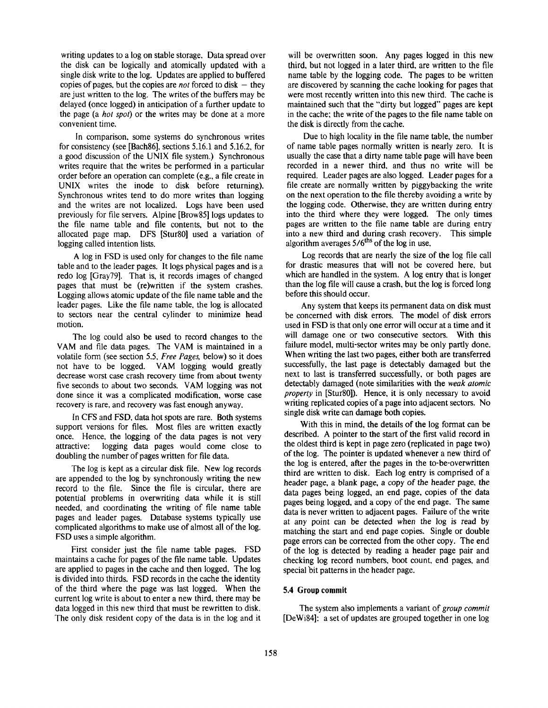writing updates to a log on stable storage. Data spread over the disk can be logically and atomically updated with a single disk write to the log. Updates are applied to buffered copies of pages, but the copies are *not* forced to disk  $-$  they are just written to the log. The writes of the buffers may be delayed (once logged) in anticipation of a further update to the page (a *hot spot)* or the writes may be done at a more convenient time.

In comparison, some systems do synchronous writes for consistency (see [Bach86], sections 5.16.1 and 5.16.2, for a good discussion of the UNIX file system.) Synchronous writes require that the writes be performed in a particular order before an operation can complete (e.g., a file create in UNIX writes the inode to disk before returning). Synchronous writes tend to do more writes than logging and the writes are not localized. Logs have been used previously for file servers. Alpine [Brow85] logs updates to the file name table and file contents, but not to the allocated page map. DFS [Stur80] used a variation of logging called intention lists.

A log in FSD is used only for changes to the file name table and to the leader pages. It logs physical pages and is a redo log [Gray79]. That is, it records images of changed pages that must be (re)written if the system crashes. Logging allows atomic update of the file name table and the leader pages. Like the file name table, the log is allocated to sectors near the central cylinder to minimize head motion.

The log could also be used to record changes to the VAM and file data pages. The VAM is maintained in a volatile form (see section 5.5, *Free Pages,* below) so it does not have to be logged. VAM logging would greatly decrease worst case crash recovery time from about twenty five seconds to about two seconds. VAM logging was not done since it was a complicated modification, worse case recovery is rare, and recovery was fast enough anyway.

In CFS and FSD, data hot spots are rare. Both systems support versions for files. Most files are written exactly once, Hence, the logging of the data pages is not very attractive: logging data pages would come close to doubling the number of pages written for file data.

The log is kept as a circular disk file. New log records are appended to the log by synchronously writing the new record to the file. Since the file is circular, there are potential problems in overwriting data while it is still needed, and coordinating the writing of file name table pages and leader pages. Database systems typically use complicated algorithms to make use of almost all of the log. FSD uses a simple algorithm.

First consider just the file name table pages. FSD maintains a cache for pages of the file name table. Updates are applied to pages in the cache and then logged. The log is divided into thirds. FSD records in the cache the identity of the third where the page was last logged. When the current log write is about to enter a new third, there may be data logged in this new third that must be rewritten to disk. The only disk resident copy of the data is in the log and it

will be overwritten soon. Any pages logged in this new third, but not logged in a later third, are written to the file name table by the logging code. The pages to be written are discovered by scanning the cache looking for pages that were most recently written into this new third. The cache is maintained such that the "dirty but logged" pages are kept in the cache; the write of the pages to the file name table on the disk is directly from the cache.

Due to high locality in the file name *table,* the number of name table pages normally written is nearly zero. It is usually the case that a dirty name table page will have been recorded in a newer third, and thus no write will be required. Leader pages are also logged. Leader pages for a file create are normally written by piggybacking the write on the next operation to the file thereby avoiding a write by the logging code. Otherwise, they are written during entry into the third where they were logged. The only times pages are written to the file name table are during entry into a new third and during crash recovery. This simple algorithm averages  $5/6$ <sup>ths</sup> of the log in use.

Log records that are nearly the size of the log file call for drastic measures that will not be covered here, but which are handled in the system. A log entry that is longer than the log file will cause a crash, but the log is forced long before this should occur.

Any system that keeps its permanent data on disk must be concerned with disk errors. The model of disk errors used in FSD is that only one error will occur at a time and it will damage one or two consecutive sectors. With this failure model, multi-sector writes may be only partly done. When writing the last two pages, either both are transferred successfully, the last page is detectably damaged but the next to last is transferred successfully, or both pages are detectably damaged (note similarities with the *weak atomic property* in [Stur80]). Hence, it is only necessary to avoid writing replicated copies of a page into adjacent sectors. No single disk write can damage both copies.

With this in mind, the details of the log format can be described. A pointer to the start of the first valid record in the oldest third is kept in page zero (replicated in page two) of the log. The pointer is updated whenever a new third of the log is entered, after the pages in the to-be-overwritten third are written to disk. Each log entry is comprised of a header page, a blank page, a copy of the header page, the data pages being logged, an end page, copies of the data pages being logged, and a copy of the end page. The same data is never written to adjacent pages. Failure of the write at any point can be detected when the log is read by matching the start and end page copies. Single or double page errors can be corrected from the other copy. The end of the log is detected by reading a header page pair and checking log record numbers, boot count, end pages, and special bit patterns in the header page.

#### **5.4 Group commit**

The system also implements a variant of *group commit*  [DeWi84]: a set of updates are grouped together in one log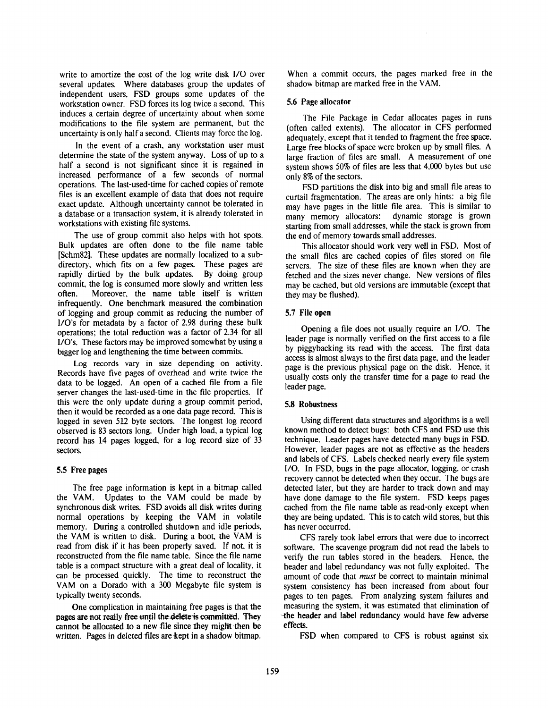write to amortize the cost of the log write disk I/O over several updates. Where databases group the updates of independent users, FSD groups some updates of the workstation owner. FSD forces its log twice a second. This induces a certain degree of uncertainty about when some modifications to the file system are permanent, but the uncertainty is only half a second. Clients may force the log.

In the event of a crash, any workstation user must determine the state of the system anyway. Loss of up to a half a second is not significant since it is regained in increased performance of a few seconds of normal operations. The last-used-time for cached copies of remote files is an excellent example of data that does not require exact update. Although uncertainty cannot be tolerated in a database or a transaction system, it is already tolerated in workstations with existing file systems.

The use of group commit also helps with hot spots. Bulk updates are often done to the file name table [Schm82]. These updates are normally localized to a subdirectory, which fits on a few pages. These pages are rapidly dirtied by the bulk updates. By doing group commit, the log is consumed more slowly and written less often. Moreover, the name table itself is written infrequently. One benchmark measured the combination of logging and group commit as reducing the number of I/O's for metadata by a factor of 2.98 during these bulk operations; the total reduction was a factor of 2.34 for all I/O's. These factors may be improved somewhat by using a bigger log and lengthening the time between commits.

Log records vary in size depending on activity. Records have five pages of overhead and write twice the data to be logged. An open of a cached file from a file server changes the last-used-time in the file properties. If this were the only update during a group commit period, then it would be recorded as a one data page record. This is logged in seven 512 byte sectors. The longest log record observed is 83 sectors long. Under high load, a typical log record has 14 pages logged, for a log record size of 33 sectors.

## **5.5 Free pages**

The free page information is kept in a bitmap called the VAM. Updates to the VAM could be made by synchronous disk writes. FSD avoids all disk writes during normal operations by keeping the VAM in volatile memory. During a controlled shutdown and idle periods, the VAM is written to disk. During a boot, the VAM is read from disk if it has been properly saved. If not, it is reconstructed from the file name table. Since the file name table is a compact structure with a great deal of locality, it can be processed quickly. The time to reconstruct the VAM on a Dorado with a 300 Megabyte file system is typically twenty seconds.

One complication in maintaining free pages is that the pages are not really free until the delete-is committed. They cannot be allocated to a new file since they might then be written. Pages in deleted-files are kept in a shadow bitmap.

When a commit occurs, the pages marked free in the shadow bitmap are marked free in the VAM.

#### 5.6 Page allocator

The File Package in Cedar allocates pages in runs (often called extents). The allocator in CFS performed adequately, except that it tended to fragment the free space. Large free blocks of space were broken up by small files. A large fraction of files are small. A measurement of one system shows 50% of files are less that 4,000 bytes but use only 8% of the sectors.

FSD partitions the disk into big and small file areas to curtail fragmentation. The areas are only hints: a big file may have pages in the little file area. This is similar to many memory allocators: dynamic storage is grown starting from small addresses, while the stack is grown from the end of memory towards small addresses.

This allocator should work very well in FSD. Most of the small files are cached copies of files stored on file servers. The size of these files are known when they are fetched and the sizes never change. New versions of files may be cached, but old versions are immutable (except that they may be flushed).

#### 5.7 File **open**

Opening a file does not usually require an I/O. The leader page is normally verified on the first access to a file by piggybacking its read with the access. The first data access is almost always to the first data page, and the leader page is the previous physical page on the disk. Hence, it usually costs only the transfer time for a page to read the leader page.

## 5.8 Robustness

Using different data structures and algorithms is a well known method to detect bugs: both CFS and FSD use this technique. Leader pages have detected many bugs in FSD. However, leader pages are not as effective as the headers and labels of CFS. Labels checked nearly every file system I/O. In FSD, bugs in the page allocator, logging, or crash recovery cannot be detected when they occur. The bugs are detected later, but they are harder to track down and may have done damage to the file system. FSD keeps pages cached from the file name table as read-only except when they are being updated. This is to catch wild stores, but this has never occurred.

CFS rarely took label errors that were due to incorrect software. The scavenge program did not read the labels to verify the run tables stored in the headers. Hence, the header and label redundancy was not fully exploited. The amount of code that *must* be correct to maintain minimal system consistency has been increased from about four pages to ten pages. From analyzing system failures and measuring the system, it was estimated that elimination of -the header and label redundancy would have few adverse effects.

FSD when compared to CFS is robust against six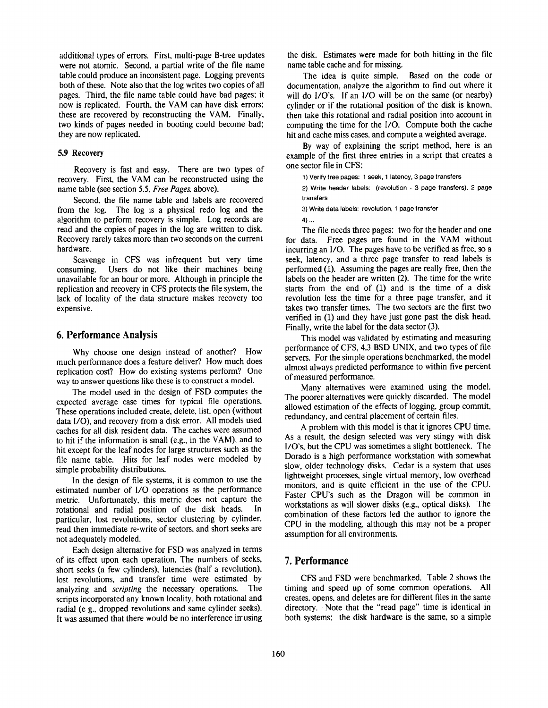additional types of errors. First, multi-page B-tree updates were not atomic. Second, a partial write of the file name table could produce an inconsistent page. Logging prevents both of these. Note also that the log writes two copies of all pages. Third, the file name table could have bad pages; it now is replicated. Fourth, the VAM can have disk errors; these are recovered by reconstructing the VAM. Finally, two kinds of pages needed in booting could become bad; they are now replicated.

#### **5.9 Recovery**

Recovery is fast and easy. There are two types of recovery. First, the VAM can be reconstructed using the name table (see section 5.5, *Free Pages,* above).

Second, the file name table and labels are recovered from the log. The log is a physical redo log and the algorithm to perform recovery is simple. Log records are read and the copies of pages in the log are written to disk. Recovery rarely takes more than two seconds on the current hardware.

Scavenge in CFS was infrequent but very time consuming. Users do not like their machines being unavailable for an hour or more. Although in principle the replication and recovery in CFS protects the file system, the lack of locality of the data structure makes recovery too expensive.

## **6. Performance Analysis**

Why choose one design instead of another? How much performance does a feature deliver? How much does replication cost? How do existing systems perform? One way to answer questions like these is to construct a model.

The model used in the design of FSD computes the expected average case times for typical file operations. These operations included create, delete, list, open (without data I/O), and recovery from a disk error. All models used caches for all disk resident data. The caches were assumed to hit if the information is small (e.g., in the VAM), and to hit except for the leaf nodes for large structures such as the file name table. Hits for leaf nodes were modeled by simple probability distributions.

In the design of file systems, it is common to use the estimated number of I/O operations as the performance metric. Unfortunately, this metric does not capture the rotational and radial position of the disk heads. In particular, lost revolutions, sector clustering by cylinder, read then immediate re-write of sectors, and short seeks are not adequately modeled.

Each design alternative for FSD was analyzed in terms of its effect upon each operation. The numbers of seeks, short seeks (a few cylinders), latencies (half a revolution), lost revolutions, and transfer time were estimated by analyzing and *scripting* the necessary operations. The scripts incorporated any known locality, both rotational and radial (e g., dropped revolutions and same cylinder seeks). It was assumed that there would be no interference in using the disk. Estimates were made for both hitting in the file name table cache and for missing.

The idea is quite simple. Based on the code or documentation, analyze the algorithm to find out where it will do I/O's. If an I/O will be on the same (or nearby) cylinder or if the rotational position of the disk is known, then take this rotational and radial position into account in computing the time for the I/O. Compute both the cache hit and cache miss cases, and compute a weighted average.

By way of explaining the script method, here is an example of the first three entries in a script that creates a one sector file in CFS:

1) Verify free pages: 1 seek, 1 latency, 3 page transfers

2) Write header labels: (revolution - 3 page transfers), 2 page transfers

3) Write data labels: revolution, 1 page transfer

4)...

The file needs three pages: two for the header and one for data. Free pages are found in the VAM without incurring an I/O. The pages have to be verified as free, so a seek, latency, and a three page transfer to read labels is performed (1). Assuming the pages are really free, then the labels on the header are written (2). The time for the write starts from the end of (1) and is the time of a disk revolution less the time for a three page transfer, and it takes two transfer times. The two sectors are the first two verified in (1) and they have just gone past the disk head. Finally, write the label for the data sector (3).

This model was validated by estimating and measuring performance of CFS, 4.3 BSD UNIX, and two types of file servers. For the simple operations benchmarked, the model almost always predicted performance to within five percent of measured performance.

Many alternatives were examined using the model. The poorer alternatives were quickly discarded. The model allowed estimation of the effects of logging, group commit, redundancy, and central placement of certain files.

A problem with this model is that it ignores CPU time. As a result, the design selected was very stingy with disk I/O's, but the CPU was sometimes a slight bottleneck. The Dorado is a high performance workstation with somewhat slow, older technology disks. Cedar is a system that uses lightweight processes, single virtual memory, low overhead monitors, and is quite efficient in the use of the CPU. Faster CPU's such as the Dragon will be common in workstations as will slower disks (e.g., optical disks). The combination of these factors led the author to ignore the CPU in the modeling, although this may not be a proper assumption for all environments.

# **7. Performance**

CFS and FSD were benchmarked. Table 2 shows the timing and speed up of some common operations. All creates, opens, and deletes are for different files in the same directory. Note that the "read page" time is identical in both systems: the disk hardware is the same, so a simple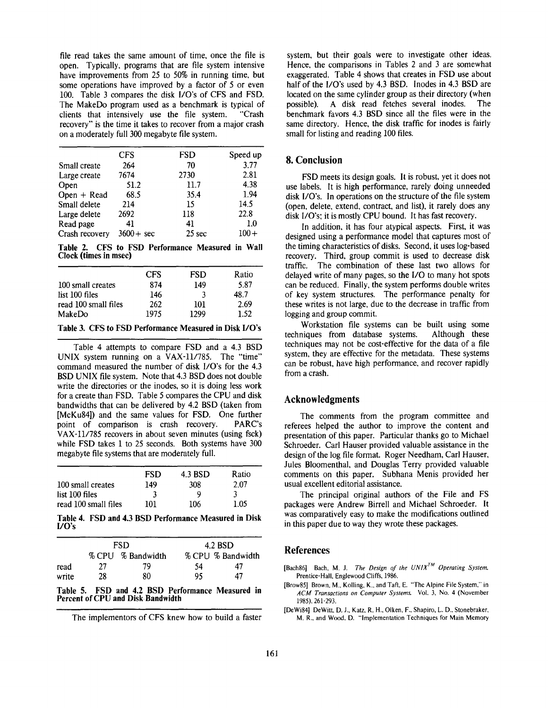file read takes the same amount of time, once the file is open. Typically, programs that are file system intensive have improvements from 25 to 50% in running time, but some operations have improved by a factor of 5 or even 100. Table 3 compares the disk l/O's of CFS and FSD. The MakeDo program used as a benchmark is typical of clients that intensively use the file system. "Crash recovery" is the time it takes to recover from a major crash on a moderately full 300 megabyte file system.

|                | <b>CFS</b>          | <b>FSD</b> | Speed up |
|----------------|---------------------|------------|----------|
| Small create   | 264                 | 70         | 3.77     |
| Large create   | 7674                | 2730       | 2.81     |
| Open           | 51.2                | 11.7       | 4.38     |
| $Open + Read$  | 68.5                | 35.4       | 1.94     |
| Small delete   | 214                 | 15         | 14.5     |
| Large delete   | 2692                | 118        | 22.8     |
| Read page      | 41                  | 41         | 1.0      |
| Crash recovery | $3600 + \text{sec}$ | 25 sec     | $100 +$  |
|                |                     |            |          |

**Table 2. CFS to FSD Performance Measured in Wall Clock (times in msec)** 

|                      | <b>CFS</b> | FSD  | Ratio |
|----------------------|------------|------|-------|
| 100 small creates    | 874        | 149  | 5.87  |
| list 100 files       | 146        | 3    | 48.7  |
| read 100 small files | 262        | 101  | 2.69  |
| MakeDo               | 1975       | 1299 | 1.52  |
|                      |            |      |       |

**Table 3. CFS to FSD Performance Measured in Disk** I/O's

Table 4 attempts to compare FSD and a 4.3 BSD UNIX system running on a VAX-11/785. The "time" command measured the number of disk I/O's for the 4.3 BSD UNIX file system. Note that 4.3 BSD does not double write the directories or the inodes, so it is doing less work for a create than FSD. Table 5 compares the CPU and disk bandwidths that can be delivered by 4.2 BSD (taken from [McKu84]) and the same values for FSD. One further point of comparison is crash recovery. PARC's VAX-11/785 recovers in about seven minutes (using fsck) while FSD takes 1 to 25 seconds. Both systems have 300 megabyte file systems that are moderately full.

|                      | FSD | 4.3 BSD | Ratio |
|----------------------|-----|---------|-------|
| 100 small creates    | 149 | 308     | 2.07  |
| list 100 files       | ર   | Q       |       |
| read 100 small files | 101 | 106     | 1.05  |

**Table 4. FSD and** 4.3 BSD **Performance Measured in Disk**  I/O's

|       | <b>FSD</b> |                   | 4.2 BSD |                   |
|-------|------------|-------------------|---------|-------------------|
|       |            | % CPU % Bandwidth |         | % CPU % Bandwidth |
| read  | 27         | 79                | 54      | 47                |
| write | 28         | 80                | 95      | 47                |

**Table 5. FSD and 4.2 BSD Performance Measured** in **Percent of CPU and Disk Bandwidth** 

The implementors of CFS knew how to build a faster

system, but their goals were to investigate other ideas. Hence, the comparisons in Tables 2 and 3 are somewhat exaggerated. Table 4 shows that creates in FSD use about half of the I/O's used by 4.3 BSD. Inodes in 4.3 BSD are located on the same cylinder group as their directory (when possible). A disk read fetches several inodes. The benchmark favors 4.3 BSD since all the files were in the same directory. Hence, the disk traffic for inodes is fairly small for listing and reading 100 files.

## **8. Conclusion**

FSD meets its design goals. It is robust, yet it does not use labels. It is high performance, rarely doing unneeded disk I/O's. In operations on the structure of the file system (open, delete, extend, contract, and list), it rarely does any disk I/O's; it is mostly CPU bound. It has fast recovery.

In addition, it has four atypical aspects. First, it was designed using a performance model that captures most of the timing characteristics of disks. Second, it uses log-based recovery. Third, group commit is used to decrease disk traffic. The combination of these last two allows for delayed write of many pages, so the I/O to many hot spots can be reduced. Finally, the system performs double writes of key system structures. The performance penalty for these writes is not large, due to the decrease in traffic from logging and group commit.

Workstation file systems can be built using some<br>niques from database systems. Although these techniques from database systems. techniques may not be cost-effective for the data of a file system, they are effective for the metadata. These systems can be robust, have high performance, and recover rapidly from a crash.

## **Acknowledgments**

The comments from the program committee and referees helped the author to improve the content and presentation of this paper. Particular thanks go to Michael Schroeder. Carl Hauser provided valuable assistance in the design of the log file format. Roger Needham, Carl Hauser, Jules Bloomenthal, and Douglas Terry provided valuable comments on this paper. Subhana Menis provided her usual excellent editorial assistance.

The principal original authors of the File and FS packages were Andrew Birrell and Michael Schroeder. It was comparatively easy to make the modifications outlined in this paper due to way they wrote these packages.

# **References**

- [Bach86] Bach, M.J. *The Design of the UNIX TM Operating System.*  Prentice-Hall, Englewood Cliffs, 1986.
- [Brow85] Brown, M., Kolling, K., and Taft, E. "The Alpine File System," in *ACM Transactions on Computer Systems.* Vol. 3, No. 4 (November 1985), 261-293.
- [DeWi84] DeWitt. D, J.. Katz. R. H., Olken, F.. Shapiro. L. D.. Stonebraker, M. R.. and Wood. D. "Implementation Techniques for Main Memory